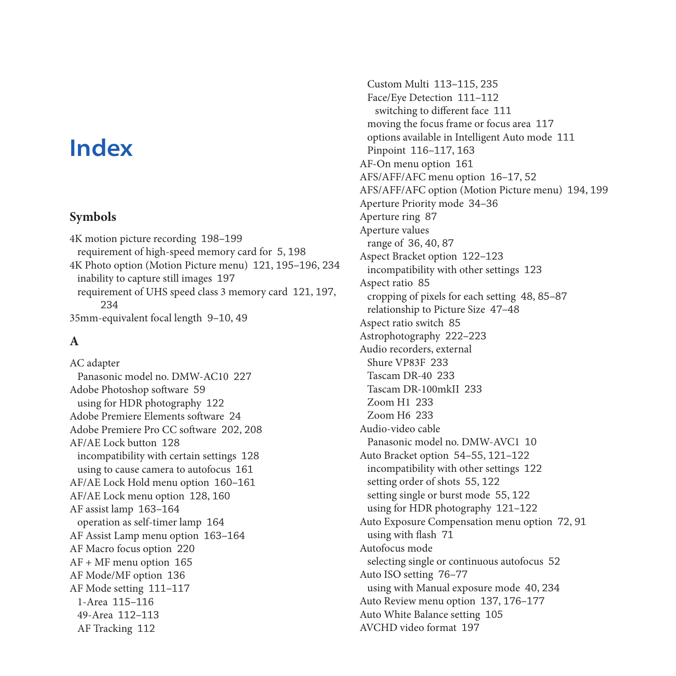# **Index**

#### **Symbols**

4K motion picture recording 198–199 requirement of high-speed memory card for 5, 198 4K Photo option (Motion Picture menu) 121, 195–196, 234 inability to capture still images 197 requirement of UHS speed class 3 memory card 121, 197, 234 35mm-equivalent focal length 9–10, 49

## **A**

AC adapter Panasonic model no. DMW-AC10 227 Adobe Photoshop software 59 using for HDR photography 122 Adobe Premiere Elements software 24 Adobe Premiere Pro CC software 202, 208 AF/AE Lock button 128 incompatibility with certain settings 128 using to cause camera to autofocus 161 AF/AE Lock Hold menu option 160–161 AF/AE Lock menu option 128, 160 AF assist lamp 163–164 operation as self-timer lamp 164 AF Assist Lamp menu option 163–164 AF Macro focus option 220 AF + MF menu option 165 AF Mode/MF option 136 AF Mode setting 111–117 1-Area 115–116 49-Area 112–113 AF Tracking 112

Custom Multi 113–115, 235 Face/Eye Detection 111–112 switching to different face 111 moving the focus frame or focus area 117 options available in Intelligent Auto mode 111 Pinpoint 116–117, 163 AF-On menu option 161 AFS/AFF/AFC menu option 16–17, 52 AFS/AFF/AFC option (Motion Picture menu) 194, 199 Aperture Priority mode 34–36 Aperture ring 87 Aperture values range of 36, 40, 87 Aspect Bracket option 122–123 incompatibility with other settings 123 Aspect ratio 85 cropping of pixels for each setting 48, 85–87 relationship to Picture Size 47–48 Aspect ratio switch 85 Astrophotography 222–223 Audio recorders, external Shure VP83F 233 Tascam DR-40 233 Tascam DR-100mkII 233 Zoom H1 233 Zoom H6 233 Audio-video cable Panasonic model no. DMW-AVC1 10 Auto Bracket option 54–55, 121–122 incompatibility with other settings 122 setting order of shots 55, 122 setting single or burst mode 55, 122 using for HDR photography 121–122 Auto Exposure Compensation menu option 72, 91 using with flash 71 Autofocus mode selecting single or continuous autofocus 52 Auto ISO setting 76–77 using with Manual exposure mode 40, 234 Auto Review menu option 137, 176–177 Auto White Balance setting 105 AVCHD video format 197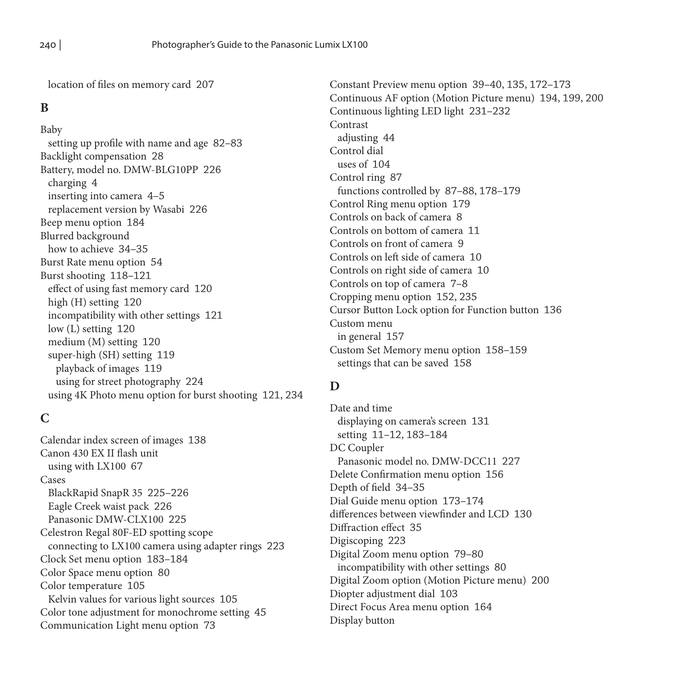location of files on memory card 207

#### **B**

Baby setting up profile with name and age 82–83 Backlight compensation 28 Battery, model no. DMW-BLG10PP 226 charging 4 inserting into camera 4–5 replacement version by Wasabi 226 Beep menu option 184 Blurred background how to achieve 34–35 Burst Rate menu option 54 Burst shooting 118–121 effect of using fast memory card 120 high (H) setting 120 incompatibility with other settings 121 low (L) setting 120 medium (M) setting 120 super-high (SH) setting 119 playback of images 119 using for street photography 224 using 4K Photo menu option for burst shooting 121, 234

#### **C**

Calendar index screen of images 138 Canon 430 EX II flash unit using with LX100 67 Cases BlackRapid SnapR 35 225–226 Eagle Creek waist pack 226 Panasonic DMW-CLX100 225 Celestron Regal 80F-ED spotting scope connecting to LX100 camera using adapter rings 223 Clock Set menu option 183–184 Color Space menu option 80 Color temperature 105 Kelvin values for various light sources 105 Color tone adjustment for monochrome setting 45 Communication Light menu option 73

Constant Preview menu option 39–40, 135, 172–173 Continuous AF option (Motion Picture menu) 194, 199, 200 Continuous lighting LED light 231–232 Contrast adjusting 44 Control dial uses of 104 Control ring 87 functions controlled by 87–88, 178–179 Control Ring menu option 179 Controls on back of camera 8 Controls on bottom of camera 11 Controls on front of camera 9 Controls on left side of camera 10 Controls on right side of camera 10 Controls on top of camera 7–8 Cropping menu option 152, 235 Cursor Button Lock option for Function button 136 Custom menu in general 157 Custom Set Memory menu option 158–159 settings that can be saved 158

#### **D**

Date and time displaying on camera's screen 131 setting 11–12, 183–184 DC Coupler Panasonic model no. DMW-DCC11 227 Delete Confirmation menu option 156 Depth of field 34–35 Dial Guide menu option 173–174 differences between viewfinder and LCD 130 Diffraction effect 35 Digiscoping 223 Digital Zoom menu option 79–80 incompatibility with other settings 80 Digital Zoom option (Motion Picture menu) 200 Diopter adjustment dial 103 Direct Focus Area menu option 164 Display button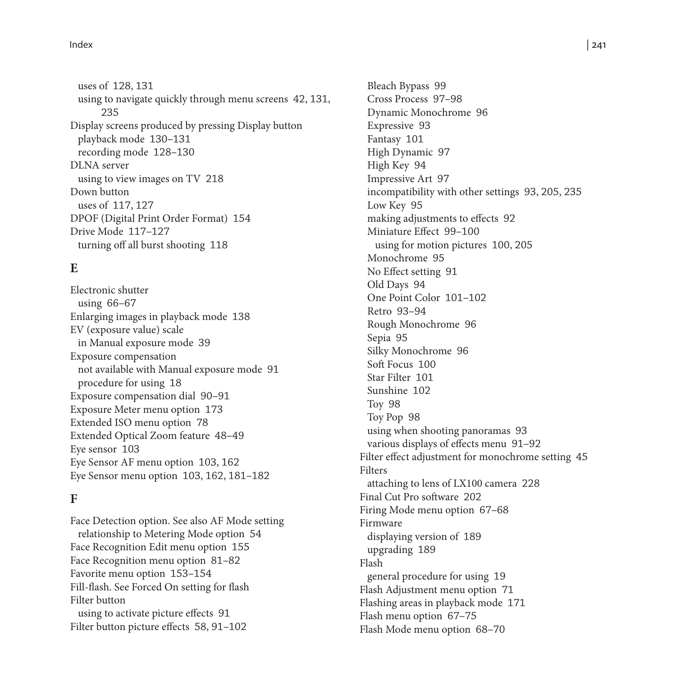uses of 128, 131 using to navigate quickly through menu screens 42, 131, 235 Display screens produced by pressing Display button playback mode 130–131 recording mode 128–130 DLNA server using to view images on TV 218 Down button uses of 117, 127 DPOF (Digital Print Order Format) 154 Drive Mode 117–127 turning off all burst shooting 118

## **E**

Electronic shutter using 66–67 Enlarging images in playback mode 138 EV (exposure value) scale in Manual exposure mode 39 Exposure compensation not available with Manual exposure mode 91 procedure for using 18 Exposure compensation dial 90–91 Exposure Meter menu option 173 Extended ISO menu option 78 Extended Optical Zoom feature 48–49 Eye sensor 103 Eye Sensor AF menu option 103, 162 Eye Sensor menu option 103, 162, 181–182

#### **F**

Face Detection option. See also AF Mode setting relationship to Metering Mode option 54 Face Recognition Edit menu option 155 Face Recognition menu option 81–82 Favorite menu option 153–154 Fill-flash. See Forced On setting for flash Filter button using to activate picture effects 91 Filter button picture effects 58, 91–102

Bleach Bypass 99 Cross Process 97–98 Dynamic Monochrome 96 Expressive 93 Fantasy 101 High Dynamic 97 High Key 94 Impressive Art 97 incompatibility with other settings 93, 205, 235 Low Key 95 making adjustments to effects 92 Miniature Effect 99–100 using for motion pictures 100, 205 Monochrome 95 No Effect setting 91 Old Days 94 One Point Color 101–102 Retro 93–94 Rough Monochrome 96 Sepia 95 Silky Monochrome 96 Soft Focus 100 Star Filter 101 Sunshine 102 Toy 98 Toy Pop 98 using when shooting panoramas 93 various displays of effects menu 91–92 Filter effect adjustment for monochrome setting 45 Filters attaching to lens of LX100 camera 228 Final Cut Pro software 202 Firing Mode menu option 67–68 Firmware displaying version of 189 upgrading 189 Flash general procedure for using 19 Flash Adjustment menu option 71 Flashing areas in playback mode 171 Flash menu option 67–75 Flash Mode menu option 68–70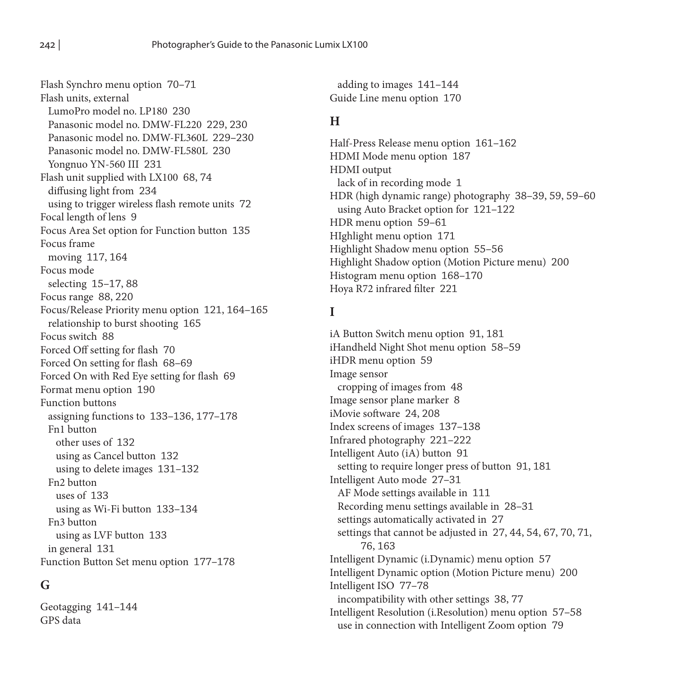Flash Synchro menu option 70–71 Flash units, external LumoPro model no. LP180 230 Panasonic model no. DMW-FL220 229, 230 Panasonic model no. DMW-FL360L 229–230 Panasonic model no. DMW-FL580L 230 Yongnuo YN-560 III 231 Flash unit supplied with LX100 68, 74 diffusing light from 234 using to trigger wireless flash remote units 72 Focal length of lens 9 Focus Area Set option for Function button 135 Focus frame moving 117, 164 Focus mode selecting 15–17, 88 Focus range 88, 220 Focus/Release Priority menu option 121, 164–165 relationship to burst shooting 165 Focus switch 88 Forced Off setting for flash 70 Forced On setting for flash 68–69 Forced On with Red Eye setting for flash 69 Format menu option 190 Function buttons assigning functions to 133–136, 177–178 Fn1 button other uses of 132 using as Cancel button 132 using to delete images 131–132 Fn2 button uses of 133 using as Wi-Fi button 133–134 Fn3 button using as LVF button 133 in general 131 Function Button Set menu option 177–178

## **G**

Geotagging 141–144 GPS data

adding to images 141–144 Guide Line menu option 170

#### **H**

Half-Press Release menu option 161–162 HDMI Mode menu option 187 HDMI output lack of in recording mode 1 HDR (high dynamic range) photography 38–39, 59, 59–60 using Auto Bracket option for 121–122 HDR menu option 59–61 HIghlight menu option 171 Highlight Shadow menu option 55–56 Highlight Shadow option (Motion Picture menu) 200 Histogram menu option 168–170 Hoya R72 infrared filter 221

#### **I**

iA Button Switch menu option 91, 181 iHandheld Night Shot menu option 58–59 iHDR menu option 59 Image sensor cropping of images from 48 Image sensor plane marker 8 iMovie software 24, 208 Index screens of images 137–138 Infrared photography 221–222 Intelligent Auto (iA) button 91 setting to require longer press of button 91, 181 Intelligent Auto mode 27–31 AF Mode settings available in 111 Recording menu settings available in 28–31 settings automatically activated in 27 settings that cannot be adjusted in 27, 44, 54, 67, 70, 71, 76, 163 Intelligent Dynamic (i.Dynamic) menu option 57 Intelligent Dynamic option (Motion Picture menu) 200 Intelligent ISO 77–78 incompatibility with other settings 38, 77 Intelligent Resolution (i.Resolution) menu option 57–58 use in connection with Intelligent Zoom option 79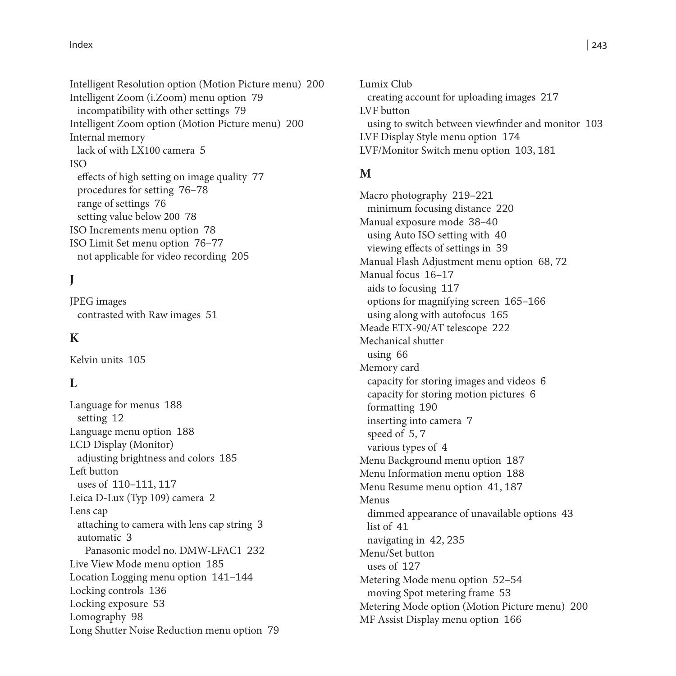Intelligent Resolution option (Motion Picture menu) 200 Intelligent Zoom (i.Zoom) menu option 79 incompatibility with other settings 79 Intelligent Zoom option (Motion Picture menu) 200 Internal memory lack of with LX100 camera 5 ISO effects of high setting on image quality 77 procedures for setting 76–78 range of settings 76 setting value below 200 78 ISO Increments menu option 78 ISO Limit Set menu option 76–77 not applicable for video recording 205

## **J**

JPEG images contrasted with Raw images 51

#### **K**

Kelvin units 105

#### **L**

Language for menus 188 setting 12 Language menu option 188 LCD Display (Monitor) adjusting brightness and colors 185 Left button uses of 110–111, 117 Leica D-Lux (Typ 109) camera 2 Lens cap attaching to camera with lens cap string 3 automatic 3 Panasonic model no. DMW-LFAC1 232 Live View Mode menu option 185 Location Logging menu option 141–144 Locking controls 136 Locking exposure 53 Lomography 98 Long Shutter Noise Reduction menu option 79 Lumix Club creating account for uploading images 217 LVF button using to switch between viewfinder and monitor 103 LVF Display Style menu option 174 LVF/Monitor Switch menu option 103, 181

#### **M**

Macro photography 219–221 minimum focusing distance 220 Manual exposure mode 38–40 using Auto ISO setting with 40 viewing effects of settings in 39 Manual Flash Adjustment menu option 68, 72 Manual focus 16–17 aids to focusing 117 options for magnifying screen 165–166 using along with autofocus 165 Meade ETX-90/AT telescope 222 Mechanical shutter using 66 Memory card capacity for storing images and videos 6 capacity for storing motion pictures 6 formatting 190 inserting into camera 7 speed of 5, 7 various types of 4 Menu Background menu option 187 Menu Information menu option 188 Menu Resume menu option 41, 187 Menus dimmed appearance of unavailable options 43 list of 41 navigating in 42, 235 Menu/Set button uses of 127 Metering Mode menu option 52–54 moving Spot metering frame 53 Metering Mode option (Motion Picture menu) 200 MF Assist Display menu option 166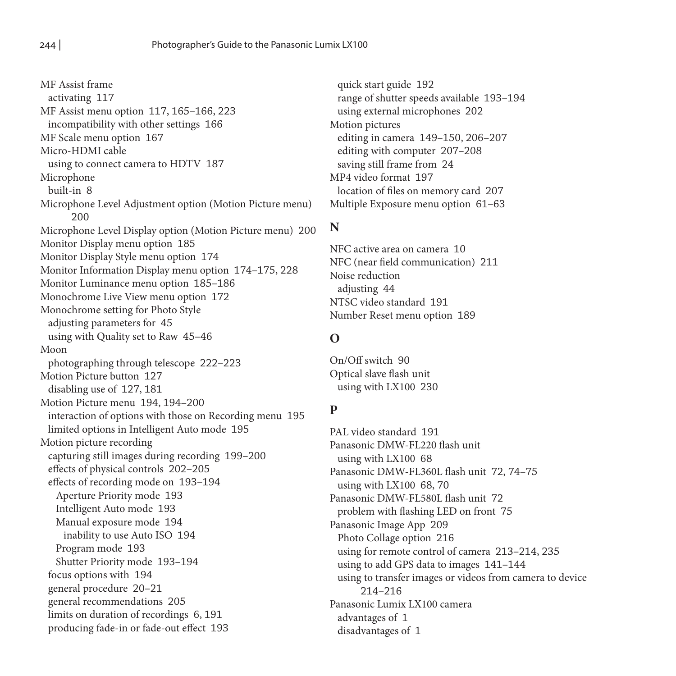MF Assist frame activating 117 MF Assist menu option 117, 165–166, 223 incompatibility with other settings 166 MF Scale menu option 167 Micro-HDMI cable using to connect camera to HDTV 187 Microphone built-in 8 Microphone Level Adjustment option (Motion Picture menu) 200 Microphone Level Display option (Motion Picture menu) 200 Monitor Display menu option 185 Monitor Display Style menu option 174 Monitor Information Display menu option 174–175, 228 Monitor Luminance menu option 185–186 Monochrome Live View menu option 172 Monochrome setting for Photo Style adjusting parameters for 45 using with Quality set to Raw 45–46 Moon photographing through telescope 222–223 Motion Picture button 127 disabling use of 127, 181 Motion Picture menu 194, 194–200 interaction of options with those on Recording menu 195 limited options in Intelligent Auto mode 195 Motion picture recording capturing still images during recording 199–200 effects of physical controls 202–205 effects of recording mode on 193–194 Aperture Priority mode 193 Intelligent Auto mode 193 Manual exposure mode 194 inability to use Auto ISO 194 Program mode 193 Shutter Priority mode 193–194 focus options with 194 general procedure 20–21 general recommendations 205 limits on duration of recordings 6, 191 producing fade-in or fade-out effect 193

quick start guide 192 range of shutter speeds available 193–194 using external microphones 202 Motion pictures editing in camera 149–150, 206–207 editing with computer 207–208 saving still frame from 24 MP4 video format 197 location of files on memory card 207 Multiple Exposure menu option 61–63

#### **N**

NFC active area on camera 10 NFC (near field communication) 211 Noise reduction adjusting 44 NTSC video standard 191 Number Reset menu option 189

## **O**

On/Off switch 90 Optical slave flash unit using with LX100 230

## **P**

PAL video standard 191 Panasonic DMW-FL220 flash unit using with LX100 68 Panasonic DMW-FL360L flash unit 72, 74–75 using with LX100 68, 70 Panasonic DMW-FL580L flash unit 72 problem with flashing LED on front 75 Panasonic Image App 209 Photo Collage option 216 using for remote control of camera 213–214, 235 using to add GPS data to images 141–144 using to transfer images or videos from camera to device 214–216 Panasonic Lumix LX100 camera advantages of 1 disadvantages of 1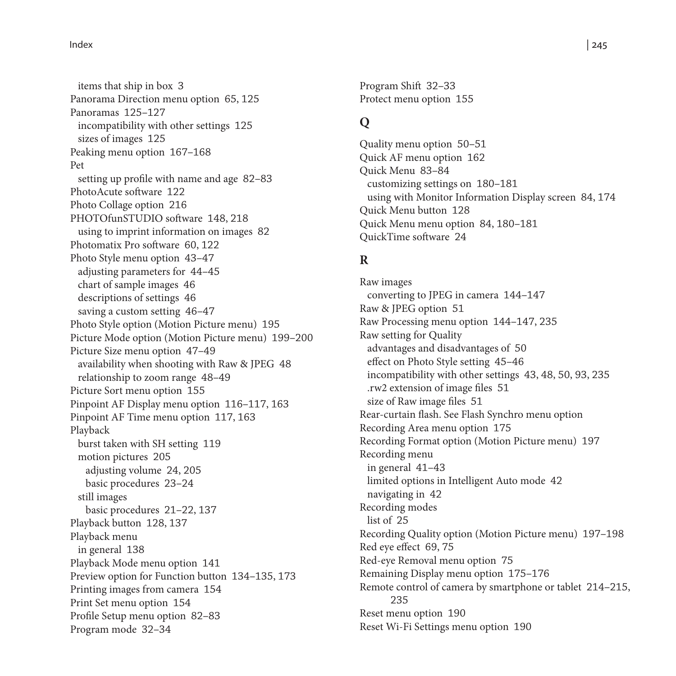items that ship in box 3 Panorama Direction menu option 65, 125 Panoramas 125–127 incompatibility with other settings 125 sizes of images 125 Peaking menu option 167–168 Pet setting up profile with name and age 82–83 PhotoAcute software 122 Photo Collage option 216 PHOTOfunSTUDIO software 148, 218 using to imprint information on images 82 Photomatix Pro software 60, 122 Photo Style menu option 43–47 adjusting parameters for 44–45 chart of sample images 46 descriptions of settings 46 saving a custom setting 46–47 Photo Style option (Motion Picture menu) 195 Picture Mode option (Motion Picture menu) 199–200 Picture Size menu option 47–49 availability when shooting with Raw & JPEG 48 relationship to zoom range 48–49 Picture Sort menu option 155 Pinpoint AF Display menu option 116–117, 163 Pinpoint AF Time menu option 117, 163 Playback burst taken with SH setting 119 motion pictures 205 adjusting volume 24, 205 basic procedures 23–24 still images basic procedures 21–22, 137 Playback button 128, 137 Playback menu in general 138 Playback Mode menu option 141 Preview option for Function button 134–135, 173 Printing images from camera 154 Print Set menu option 154 Profile Setup menu option 82–83 Program mode 32–34

Program Shift 32–33 Protect menu option 155

## **Q**

Quality menu option 50–51 Quick AF menu option 162 Quick Menu 83–84 customizing settings on 180–181 using with Monitor Information Display screen 84, 174 Quick Menu button 128 Quick Menu menu option 84, 180–181 QuickTime software 24

#### **R**

Raw images converting to JPEG in camera 144–147 Raw & JPEG option 51 Raw Processing menu option 144–147, 235 Raw setting for Quality advantages and disadvantages of 50 effect on Photo Style setting 45–46 incompatibility with other settings 43, 48, 50, 93, 235 .rw2 extension of image files 51 size of Raw image files 51 Rear-curtain flash. See Flash Synchro menu option Recording Area menu option 175 Recording Format option (Motion Picture menu) 197 Recording menu in general 41–43 limited options in Intelligent Auto mode 42 navigating in 42 Recording modes list of 25 Recording Quality option (Motion Picture menu) 197–198 Red eye effect 69, 75 Red-eye Removal menu option 75 Remaining Display menu option 175–176 Remote control of camera by smartphone or tablet 214–215, 235 Reset menu option 190 Reset Wi-Fi Settings menu option 190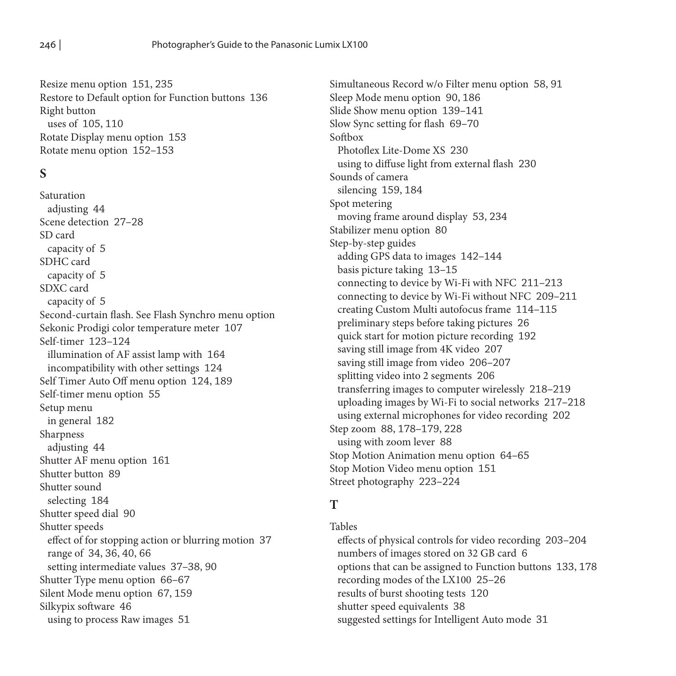Resize menu option 151, 235 Restore to Default option for Function buttons 136 Right button uses of 105, 110 Rotate Display menu option 153 Rotate menu option 152–153

## **S**

Saturation adjusting 44 Scene detection 27–28 SD card capacity of 5 SDHC card capacity of 5 SDXC card capacity of 5 Second-curtain flash. See Flash Synchro menu option Sekonic Prodigi color temperature meter 107 Self-timer 123–124 illumination of AF assist lamp with 164 incompatibility with other settings 124 Self Timer Auto Off menu option 124, 189 Self-timer menu option 55 Setup menu in general 182 Sharpness adjusting 44 Shutter AF menu option 161 Shutter button 89 Shutter sound selecting 184 Shutter speed dial 90 Shutter speeds effect of for stopping action or blurring motion 37 range of 34, 36, 40, 66 setting intermediate values 37–38, 90 Shutter Type menu option 66–67 Silent Mode menu option 67, 159 Silkypix software 46 using to process Raw images 51

Simultaneous Record w/o Filter menu option 58, 91 Sleep Mode menu option 90, 186 Slide Show menu option 139–141 Slow Sync setting for flash 69–70 Softbox Photoflex Lite-Dome XS 230 using to diffuse light from external flash 230 Sounds of camera silencing 159, 184 Spot metering moving frame around display 53, 234 Stabilizer menu option 80 Step-by-step guides adding GPS data to images 142–144 basis picture taking 13–15 connecting to device by Wi-Fi with NFC 211–213 connecting to device by Wi-Fi without NFC 209–211 creating Custom Multi autofocus frame 114–115 preliminary steps before taking pictures 26 quick start for motion picture recording 192 saving still image from 4K video 207 saving still image from video 206–207 splitting video into 2 segments 206 transferring images to computer wirelessly 218–219 uploading images by Wi-Fi to social networks 217–218 using external microphones for video recording 202 Step zoom 88, 178–179, 228 using with zoom lever 88 Stop Motion Animation menu option 64–65 Stop Motion Video menu option 151 Street photography 223–224

#### **T**

Tables effects of physical controls for video recording 203–204 numbers of images stored on 32 GB card 6 options that can be assigned to Function buttons 133, 178 recording modes of the LX100 25–26 results of burst shooting tests 120 shutter speed equivalents 38 suggested settings for Intelligent Auto mode 31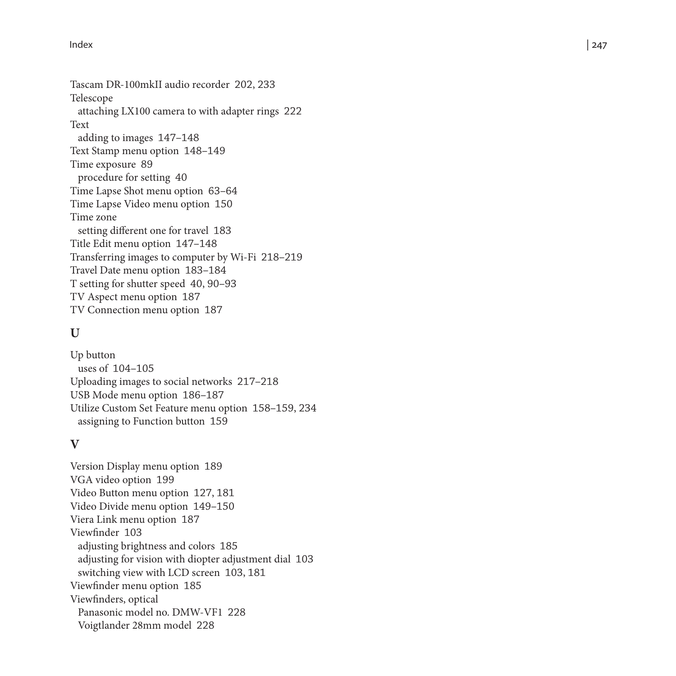Tascam DR-100mkII audio recorder 202, 233 Telescope attaching LX100 camera to with adapter rings 222 Text adding to images 147–148 Text Stamp menu option 148–149 Time exposure 89 procedure for setting 40 Time Lapse Shot menu option 63–64 Time Lapse Video menu option 150 Time zone setting different one for travel 183 Title Edit menu option 147–148 Transferring images to computer by Wi-Fi 218–219 Travel Date menu option 183–184 T setting for shutter speed 40, 90–93 TV Aspect menu option 187 TV Connection menu option 187

#### **U**

Up button uses of 104–105 Uploading images to social networks 217–218 USB Mode menu option 186–187 Utilize Custom Set Feature menu option 158–159, 234 assigning to Function button 159

## **V**

Version Display menu option 189 VGA video option 199 Video Button menu option 127, 181 Video Divide menu option 149–150 Viera Link menu option 187 Viewfinder 103 adjusting brightness and colors 185 adjusting for vision with diopter adjustment dial 103 switching view with LCD screen 103, 181 Viewfinder menu option 185 Viewfinders, optical Panasonic model no. DMW-VF1 228 Voigtlander 28mm model 228